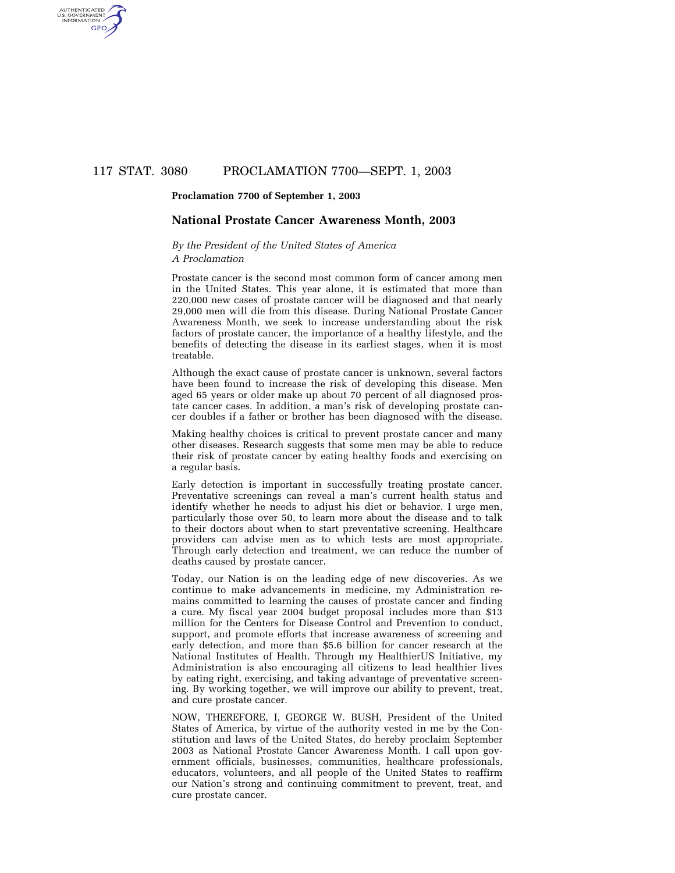# 117 STAT. 3080 PROCLAMATION 7700—SEPT. 1, 2003

#### **Proclamation 7700 of September 1, 2003**

AUTHENTICATED<br>U.S. GOVERNMENT<br>INFORMATION **GPO** 

### **National Prostate Cancer Awareness Month, 2003**

### *By the President of the United States of America A Proclamation*

Prostate cancer is the second most common form of cancer among men in the United States. This year alone, it is estimated that more than 220,000 new cases of prostate cancer will be diagnosed and that nearly 29,000 men will die from this disease. During National Prostate Cancer Awareness Month, we seek to increase understanding about the risk factors of prostate cancer, the importance of a healthy lifestyle, and the benefits of detecting the disease in its earliest stages, when it is most treatable.

Although the exact cause of prostate cancer is unknown, several factors have been found to increase the risk of developing this disease. Men aged 65 years or older make up about 70 percent of all diagnosed prostate cancer cases. In addition, a man's risk of developing prostate cancer doubles if a father or brother has been diagnosed with the disease.

Making healthy choices is critical to prevent prostate cancer and many other diseases. Research suggests that some men may be able to reduce their risk of prostate cancer by eating healthy foods and exercising on a regular basis.

Early detection is important in successfully treating prostate cancer. Preventative screenings can reveal a man's current health status and identify whether he needs to adjust his diet or behavior. I urge men, particularly those over 50, to learn more about the disease and to talk to their doctors about when to start preventative screening. Healthcare providers can advise men as to which tests are most appropriate. Through early detection and treatment, we can reduce the number of deaths caused by prostate cancer.

Today, our Nation is on the leading edge of new discoveries. As we continue to make advancements in medicine, my Administration remains committed to learning the causes of prostate cancer and finding a cure. My fiscal year 2004 budget proposal includes more than \$13 million for the Centers for Disease Control and Prevention to conduct, support, and promote efforts that increase awareness of screening and early detection, and more than \$5.6 billion for cancer research at the National Institutes of Health. Through my HealthierUS Initiative, my Administration is also encouraging all citizens to lead healthier lives by eating right, exercising, and taking advantage of preventative screening. By working together, we will improve our ability to prevent, treat, and cure prostate cancer.

NOW, THEREFORE, I, GEORGE W. BUSH, President of the United States of America, by virtue of the authority vested in me by the Constitution and laws of the United States, do hereby proclaim September 2003 as National Prostate Cancer Awareness Month. I call upon government officials, businesses, communities, healthcare professionals, educators, volunteers, and all people of the United States to reaffirm our Nation's strong and continuing commitment to prevent, treat, and cure prostate cancer.